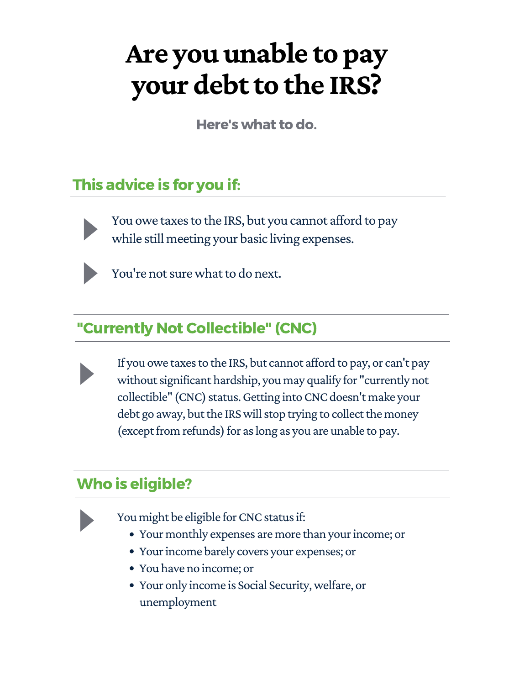# **Are you unable to pay your debtto the IRS?**

Here's what to do.

You owe taxes to the IRS, but you cannot afford to pay while still meeting your basic living expenses.



You're not sure what to do next.

#### This advice is for you if:



#### "Currently Not Collectible" (CNC)

If you owe taxes to the IRS, but cannot afford to pay, or can't pay without significant hardship, you may qualify for "currently not collectible" (CNC) status. Getting into CNC doesn't make your debt go away, but the IRS will stop trying to collect the money (except from refunds) for as long as you are unable to pay.

- Your monthly expenses are more than your income; or
- Your income barely covers your expenses; or
- You have no income; or
- Your only income is Social Security,welfare, or unemployment

### Who is eligible?



You might be eligible for CNC status if: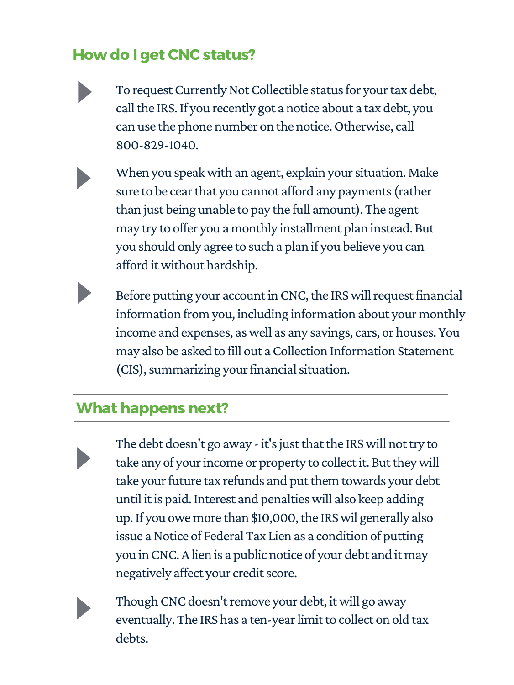#### How do I get CNC status?

- To request Currently Not Collectible status for your tax debt, call the IRS. If you recently got a notice about a tax debt, you can use the phone number on the notice.Otherwise, call 800-829-1040.
- When you speak with an agent, explain your situation. Make sure to be cear that you cannot afford any payments (rather than just being unable to pay the full amount). The agent may try to offer you a monthly installment plan instead. But you should only agree to such a plan if you believe you can afford itwithout hardship.
	- Before putting your account in CNC, the IRS will request financial information from you, including information about your monthly income and expenses, aswell as any savings, cars, or houses. You may also be asked to fill out a Collection Information Statement

# (CIS), summarizing your financial situation.

#### What happens next?

The debt doesn't go away - it's just that the IRS will not try to take any of your income or property to collect it. But they will take your future tax refunds and put them towards your debt until itis paid.Interest and penaltieswill also keep adding up. If you owe more than \$10,000, the IRS wil generally also issue a Notice of Federal Tax Lien as a condition of putting you inCNC.Alien is a public notice of your debt and it may negatively affect your credit score.



Though CNC doesn't remove your debt, it will go away eventually. The IRS has a ten-year limit to collect on old tax debts.